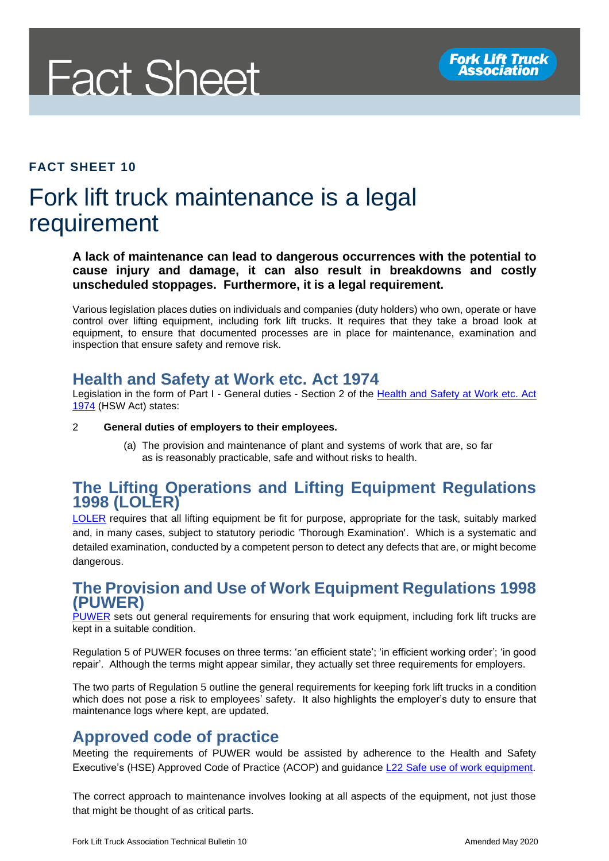

#### **FACT SHEET 10**

# Fork lift truck maintenance is a legal requirement

**A lack of maintenance can lead to dangerous occurrences with the potential to cause injury and damage, it can also result in breakdowns and costly unscheduled stoppages. Furthermore, it is a legal requirement.**

Various legislation places duties on individuals and companies (duty holders) who own, operate or have control over lifting equipment, including fork lift trucks. It requires that they take a broad look at equipment, to ensure that documented processes are in place for maintenance, examination and inspection that ensure safety and remove risk.

## **Health and Safety at Work etc. Act 1974**

Legislation in the form of Part I - General duties - Section 2 of the Health and Safety at Work etc. Act [1974](http://www.legislation.gov.uk/ukpga/1974/37/section/2) (HSW Act) states:

2 **General duties of employers to their employees.**

(a) The provision and maintenance of plant and systems of work that are, so far as is reasonably practicable, safe and without risks to health.

#### **The Lifting Operations and Lifting Equipment Regulations 1998 (LOLER)**

[LOLER](http://www.legislation.gov.uk/uksi/1998/2307/contents/made) requires that all lifting equipment be fit for purpose, appropriate for the task, suitably marked and, in many cases, subject to statutory periodic 'Thorough Examination'. Which is a systematic and detailed examination, conducted by a competent person to detect any defects that are, or might become dangerous.

#### **The Provision and Use of Work Equipment Regulations 1998 (PUWER)**

[PUWER](http://www.legislation.gov.uk/uksi/1998/2306/contents/made) sets out general requirements for ensuring that work equipment, including fork lift trucks are kept in a suitable condition.

Regulation 5 of PUWER focuses on three terms: 'an efficient state'; 'in efficient working order'; 'in good repair'. Although the terms might appear similar, they actually set three requirements for employers.

The two parts of Regulation 5 outline the general requirements for keeping fork lift trucks in a condition which does not pose a risk to employees' safety. It also highlights the employer's duty to ensure that maintenance logs where kept, are updated.

## **Approved code of practice**

Meeting the requirements of PUWER would be assisted by adherence to the Health and Safety Executive's (HSE) Approved Code of Practice (ACOP) and guidance [L22 Safe use of work equipment.](https://www.hse.gov.uk/pubns/priced/l22.pdf)

The correct approach to maintenance involves looking at all aspects of the equipment, not just those that might be thought of as critical parts.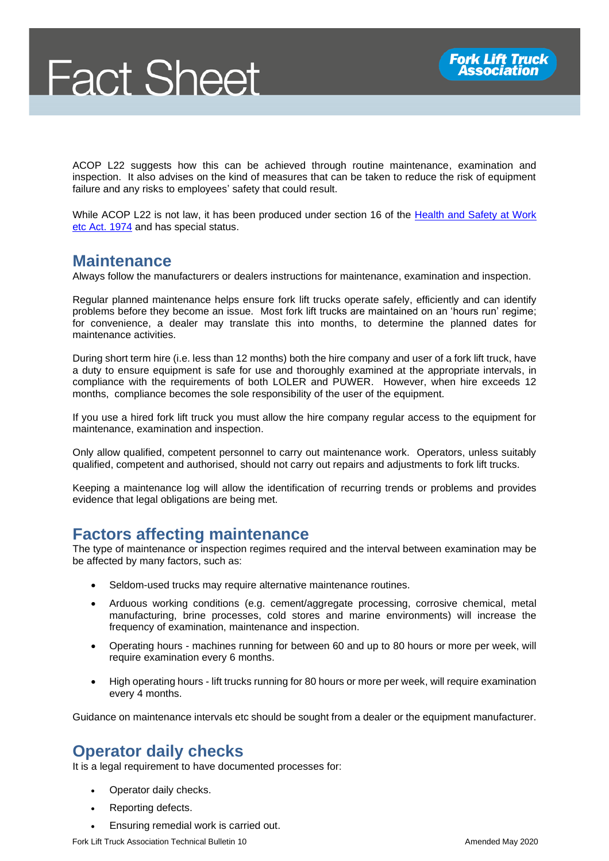ACOP L22 suggests how this can be achieved through routine maintenance, examination and inspection. It also advises on the kind of measures that can be taken to reduce the risk of equipment failure and any risks to employees' safety that could result.

While ACOP L22 is not law, it has been produced under section 16 of the [Health and Safety at Work](http://www.legislation.gov.uk/ukpga/1974/37/section/16)  [etc Act. 1974](http://www.legislation.gov.uk/ukpga/1974/37/section/16) and has special status.

## **Maintenance**

Always follow the manufacturers or dealers instructions for maintenance, examination and inspection.

Regular planned maintenance helps ensure fork lift trucks operate safely, efficiently and can identify problems before they become an issue. Most fork lift trucks are maintained on an 'hours run' regime; for convenience, a dealer may translate this into months, to determine the planned dates for maintenance activities.

During short term hire (i.e. less than 12 months) both the hire company and user of a fork lift truck, have a duty to ensure equipment is safe for use and thoroughly examined at the appropriate intervals, in compliance with the requirements of both LOLER and PUWER. However, when hire exceeds 12 months, compliance becomes the sole responsibility of the user of the equipment.

If you use a hired fork lift truck you must allow the hire company regular access to the equipment for maintenance, examination and inspection.

Only allow qualified, competent personnel to carry out maintenance work. Operators, unless suitably qualified, competent and authorised, should not carry out repairs and adjustments to fork lift trucks.

Keeping a maintenance log will allow the identification of recurring trends or problems and provides evidence that legal obligations are being met.

# **Factors affecting maintenance**

The type of maintenance or inspection regimes required and the interval between examination may be be affected by many factors, such as:

- Seldom-used trucks may require alternative maintenance routines.
- Arduous working conditions (e.g. cement/aggregate processing, corrosive chemical, metal manufacturing, brine processes, cold stores and marine environments) will increase the frequency of examination, maintenance and inspection.
- Operating hours machines running for between 60 and up to 80 hours or more per week, will require examination every 6 months.
- High operating hours lift trucks running for 80 hours or more per week, will require examination every 4 months.

Guidance on maintenance intervals etc should be sought from a dealer or the equipment manufacturer.

## **Operator daily checks**

It is a legal requirement to have documented processes for:

- Operator daily checks.
- Reporting defects.
- Ensuring remedial work is carried out.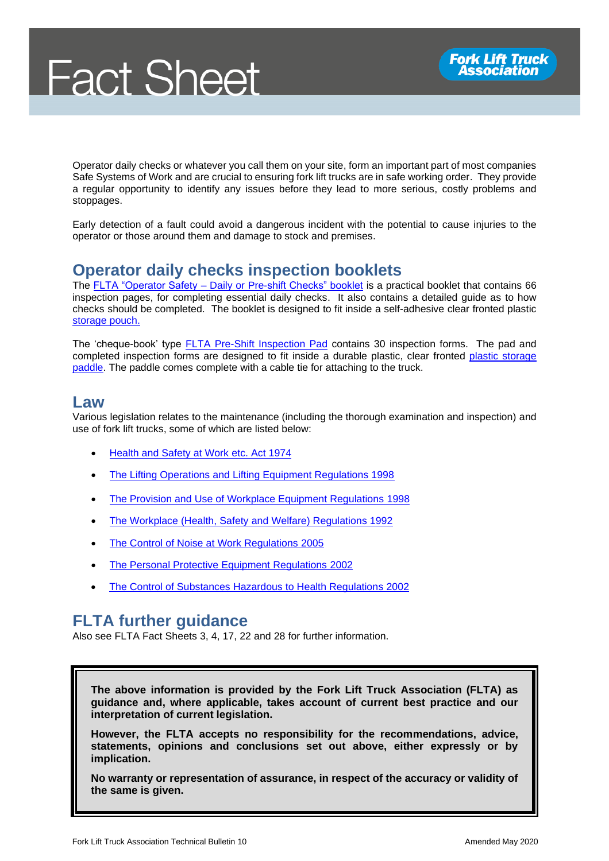Operator daily checks or whatever you call them on your site, form an important part of most companies Safe Systems of Work and are crucial to ensuring fork lift trucks are in safe working order. They provide a regular opportunity to identify any issues before they lead to more serious, costly problems and stoppages.

Early detection of a fault could avoid a dangerous incident with the potential to cause injuries to the operator or those around them and damage to stock and premises.

# **Operator daily checks inspection booklets**

The FLTA "Operator Safety – [Daily or Pre-shift Checks" booklet](https://fork-truck.org.uk/product/daily-checks/) is a practical booklet that contains 66 inspection pages, for completing essential daily checks. It also contains a detailed guide as to how checks should be completed. The booklet is designed to fit inside a self-adhesive clear fronted plastic [storage pouch.](https://fork-truck.org.uk/product/plastic-pouch/)

The 'cheque-book' type **FLTA Pre-Shift Inspection Pad contains 30 inspection forms.** The pad and completed inspection forms are designed to fit inside a durable plastic, clear fronted [plastic storage](https://fork-truck.org.uk/product/safe-truck-pre-shift-inspection-paddles/)  [paddle.](https://fork-truck.org.uk/product/safe-truck-pre-shift-inspection-paddles/) The paddle comes complete with a cable tie for attaching to the truck.

#### **Law**

Various legislation relates to the maintenance (including the thorough examination and inspection) and use of fork lift trucks, some of which are listed below:

- [Health and Safety at Work etc. Act 1974](http://www.legislation.gov.uk/ukpga/1974/37/contents)
- [The Lifting Operations and Lifting Equipment Regulations 1998](http://www.legislation.gov.uk/uksi/1998/2307/contents/made)
- [The Provision and Use of Workplace Equipment Regulations](http://www.legislation.gov.uk/uksi/1998/2306/contents/made) 1998
- [The Workplace \(Health, Safety and](http://www.legislation.gov.uk/uksi/1992/3004/contents/made) Welfare) Regulations 1992
- [The Control of Noise at Work Regulations](http://www.legislation.gov.uk/uksi/2005/1643/contents/made) 2005
- **[The Personal Protective Equipment Regulations](http://www.legislation.gov.uk/uksi/2002/1144/contents/made) 2002**
- [The Control of Substances Hazardous to Health Regulations 2002](http://www.legislation.gov.uk/uksi/2002/2677/contents/made)

# **FLTA further guidance**

Also see FLTA Fact Sheets 3, 4, 17, 22 and 28 for further information.

**The above information is provided by the Fork Lift Truck Association (FLTA) as guidance and, where applicable, takes account of current best practice and our interpretation of current legislation.** 

**However, the FLTA accepts no responsibility for the recommendations, advice, statements, opinions and conclusions set out above, either expressly or by implication.**

**No warranty or representation of assurance, in respect of the accuracy or validity of the same is given.**